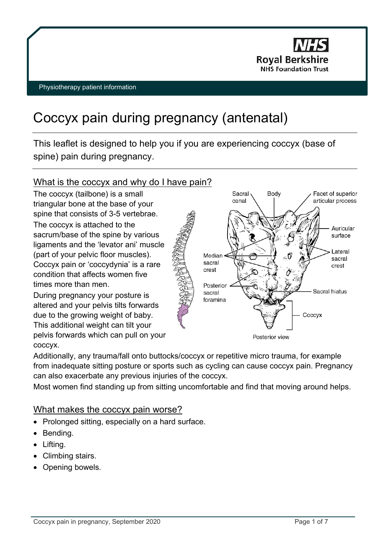

# Coccyx pain during pregnancy (antenatal)

This leaflet is designed to help you if you are experiencing coccyx (base of spine) pain during pregnancy.

# What is the coccyx and why do I have pain?

The coccyx (tailbone) is a small triangular bone at the base of your spine that consists of 3-5 vertebrae. The coccyx is attached to the sacrum/base of the spine by various ligaments and the 'levator ani' muscle (part of your pelvic floor muscles). Coccyx pain or 'coccydynia' is a rare condition that affects women five times more than men.

During pregnancy your posture is altered and your pelvis tilts forwards due to the growing weight of baby. This additional weight can tilt your pelvis forwards which can pull on your coccyx.



Additionally, any trauma/fall onto buttocks/coccyx or repetitive micro trauma, for example from inadequate sitting posture or sports such as cycling can cause coccyx pain. Pregnancy can also exacerbate any previous injuries of the coccyx.

Most women find standing up from sitting uncomfortable and find that moving around helps.

# What makes the coccyx pain worse?

- Prolonged sitting, especially on a hard surface.
- Bending.
- Lifting.
- Climbing stairs.
- Opening bowels.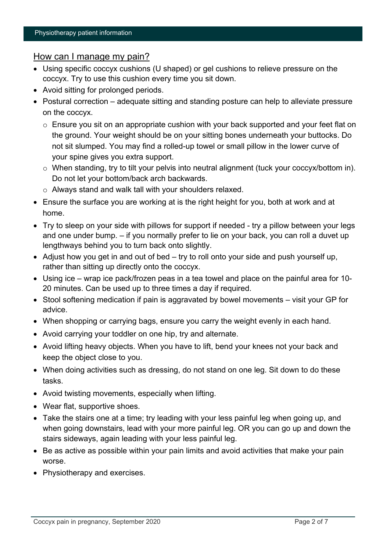## How can I manage my pain?

- Using specific coccyx cushions (U shaped) or gel cushions to relieve pressure on the coccyx. Try to use this cushion every time you sit down.
- Avoid sitting for prolonged periods.
- Postural correction adequate sitting and standing posture can help to alleviate pressure on the coccyx.
	- o Ensure you sit on an appropriate cushion with your back supported and your feet flat on the ground. Your weight should be on your sitting bones underneath your buttocks. Do not sit slumped. You may find a rolled-up towel or small pillow in the lower curve of your spine gives you extra support.
	- o When standing, try to tilt your pelvis into neutral alignment (tuck your coccyx/bottom in). Do not let your bottom/back arch backwards.
	- o Always stand and walk tall with your shoulders relaxed.
- Ensure the surface you are working at is the right height for you, both at work and at home.
- Try to sleep on your side with pillows for support if needed try a pillow between your legs and one under bump. – if you normally prefer to lie on your back, you can roll a duvet up lengthways behind you to turn back onto slightly.
- Adjust how you get in and out of bed try to roll onto your side and push yourself up, rather than sitting up directly onto the coccyx.
- Using ice wrap ice pack/frozen peas in a tea towel and place on the painful area for 10- 20 minutes. Can be used up to three times a day if required.
- Stool softening medication if pain is aggravated by bowel movements visit your GP for advice.
- When shopping or carrying bags, ensure you carry the weight evenly in each hand.
- Avoid carrying your toddler on one hip, try and alternate.
- Avoid lifting heavy objects. When you have to lift, bend your knees not your back and keep the object close to you.
- When doing activities such as dressing, do not stand on one leg. Sit down to do these tasks.
- Avoid twisting movements, especially when lifting.
- Wear flat, supportive shoes.
- Take the stairs one at a time; try leading with your less painful leg when going up, and when going downstairs, lead with your more painful leg. OR you can go up and down the stairs sideways, again leading with your less painful leg.
- Be as active as possible within your pain limits and avoid activities that make your pain worse.
- Physiotherapy and exercises.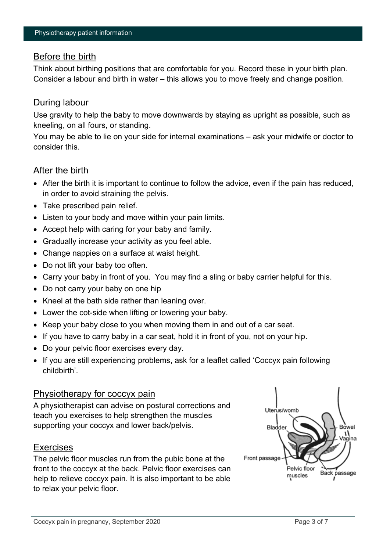## Before the birth

Think about birthing positions that are comfortable for you. Record these in your birth plan. Consider a labour and birth in water – this allows you to move freely and change position.

## During labour

Use gravity to help the baby to move downwards by staying as upright as possible, such as kneeling, on all fours, or standing.

You may be able to lie on your side for internal examinations – ask your midwife or doctor to consider this.

## After the birth

- After the birth it is important to continue to follow the advice, even if the pain has reduced, in order to avoid straining the pelvis.
- Take prescribed pain relief.
- Listen to your body and move within your pain limits.
- Accept help with caring for your baby and family.
- Gradually increase your activity as you feel able.
- Change nappies on a surface at waist height.
- Do not lift your baby too often.
- Carry your baby in front of you. You may find a sling or baby carrier helpful for this.
- Do not carry your baby on one hip
- Kneel at the bath side rather than leaning over.
- Lower the cot-side when lifting or lowering your baby.
- Keep your baby close to you when moving them in and out of a car seat.
- If you have to carry baby in a car seat, hold it in front of you, not on your hip.
- Do your pelvic floor exercises every day.
- If you are still experiencing problems, ask for a leaflet called 'Coccyx pain following childbirth'.

## Physiotherapy for coccyx pain

A physiotherapist can advise on postural corrections and teach you exercises to help strengthen the muscles supporting your coccyx and lower back/pelvis.

## Exercises

The pelvic floor muscles run from the pubic bone at the front to the coccyx at the back. Pelvic floor exercises can help to relieve coccyx pain. It is also important to be able to relax your pelvic floor.

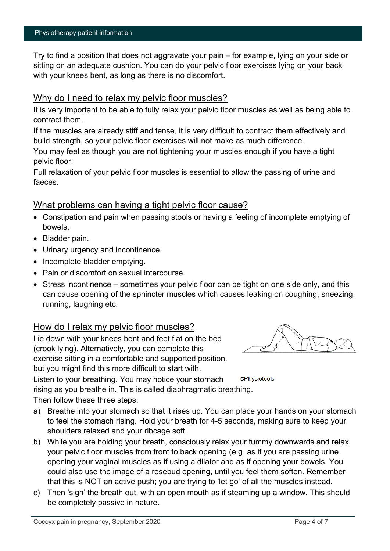Try to find a position that does not aggravate your pain – for example, lying on your side or sitting on an adequate cushion. You can do your pelvic floor exercises lying on your back with your knees bent, as long as there is no discomfort.

## Why do I need to relax my pelvic floor muscles?

It is very important to be able to fully relax your pelvic floor muscles as well as being able to contract them.

If the muscles are already stiff and tense, it is very difficult to contract them effectively and build strength, so your pelvic floor exercises will not make as much difference.

You may feel as though you are not tightening your muscles enough if you have a tight pelvic floor.

Full relaxation of your pelvic floor muscles is essential to allow the passing of urine and faeces.

## What problems can having a tight pelvic floor cause?

- Constipation and pain when passing stools or having a feeling of incomplete emptying of bowels.
- Bladder pain.
- Urinary urgency and incontinence.
- Incomplete bladder emptying.
- Pain or discomfort on sexual intercourse.
- Stress incontinence sometimes your pelvic floor can be tight on one side only, and this can cause opening of the sphincter muscles which causes leaking on coughing, sneezing, running, laughing etc.

## How do I relax my pelvic floor muscles?

Lie down with your knees bent and feet flat on the bed (crook lying). Alternatively, you can complete this exercise sitting in a comfortable and supported position, but you might find this more difficult to start with.



©Physiotools

Listen to your breathing. You may notice your stomach rising as you breathe in. This is called diaphragmatic breathing.

Then follow these three steps:

- a) Breathe into your stomach so that it rises up. You can place your hands on your stomach to feel the stomach rising. Hold your breath for 4-5 seconds, making sure to keep your shoulders relaxed and your ribcage soft.
- b) While you are holding your breath, consciously relax your tummy downwards and relax your pelvic floor muscles from front to back opening (e.g. as if you are passing urine, opening your vaginal muscles as if using a dilator and as if opening your bowels. You could also use the image of a rosebud opening, until you feel them soften. Remember that this is NOT an active push; you are trying to 'let go' of all the muscles instead.
- c) Then 'sigh' the breath out, with an open mouth as if steaming up a window. This should be completely passive in nature.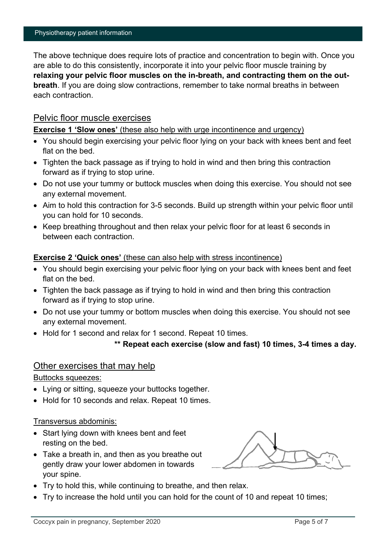The above technique does require lots of practice and concentration to begin with. Once you are able to do this consistently, incorporate it into your pelvic floor muscle training by **relaxing your pelvic floor muscles on the in-breath, and contracting them on the outbreath**. If you are doing slow contractions, remember to take normal breaths in between each contraction.

#### Pelvic floor muscle exercises

**Exercise 1 'Slow ones'** (these also help with urge incontinence and urgency)

- You should begin exercising your pelvic floor lying on your back with knees bent and feet flat on the bed.
- Tighten the back passage as if trying to hold in wind and then bring this contraction forward as if trying to stop urine.
- Do not use your tummy or buttock muscles when doing this exercise. You should not see any external movement.
- Aim to hold this contraction for 3-5 seconds. Build up strength within your pelvic floor until you can hold for 10 seconds.
- Keep breathing throughout and then relax your pelvic floor for at least 6 seconds in between each contraction.

#### **Exercise 2 'Quick ones'** (these can also help with stress incontinence)

- You should begin exercising your pelvic floor lying on your back with knees bent and feet flat on the bed
- Tighten the back passage as if trying to hold in wind and then bring this contraction forward as if trying to stop urine.
- Do not use your tummy or bottom muscles when doing this exercise. You should not see any external movement.
- Hold for 1 second and relax for 1 second. Repeat 10 times.

```
** Repeat each exercise (slow and fast) 10 times, 3-4 times a day.
```
#### Other exercises that may help

Buttocks squeezes:

- Lying or sitting, squeeze your buttocks together.
- Hold for 10 seconds and relax. Repeat 10 times.

#### Transversus abdominis:

- Start lying down with knees bent and feet resting on the bed.
- Take a breath in, and then as you breathe out gently draw your lower abdomen in towards your spine.

- Try to hold this, while continuing to breathe, and then relax.
- Try to increase the hold until you can hold for the count of 10 and repeat 10 times;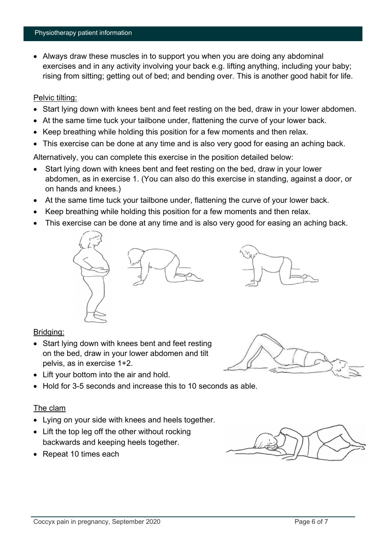• Always draw these muscles in to support you when you are doing any abdominal exercises and in any activity involving your back e.g. lifting anything, including your baby; rising from sitting; getting out of bed; and bending over. This is another good habit for life.

#### Pelvic tilting:

- Start lying down with knees bent and feet resting on the bed, draw in your lower abdomen.
- At the same time tuck your tailbone under, flattening the curve of your lower back.
- Keep breathing while holding this position for a few moments and then relax.
- This exercise can be done at any time and is also very good for easing an aching back.

Alternatively, you can complete this exercise in the position detailed below:

- Start lying down with knees bent and feet resting on the bed, draw in your lower abdomen, as in exercise 1. (You can also do this exercise in standing, against a door, or on hands and knees.)
- At the same time tuck your tailbone under, flattening the curve of your lower back.
- Keep breathing while holding this position for a few moments and then relax.
- This exercise can be done at any time and is also very good for easing an aching back.





## Bridging:

- Start Iving down with knees bent and feet resting on the bed, draw in your lower abdomen and tilt pelvis, as in exercise 1+2.
- Lift your bottom into the air and hold.
- Hold for 3-5 seconds and increase this to 10 seconds as able.

#### The clam

- Lying on your side with knees and heels together.
- Lift the top leg off the other without rocking backwards and keeping heels together.
- Repeat 10 times each